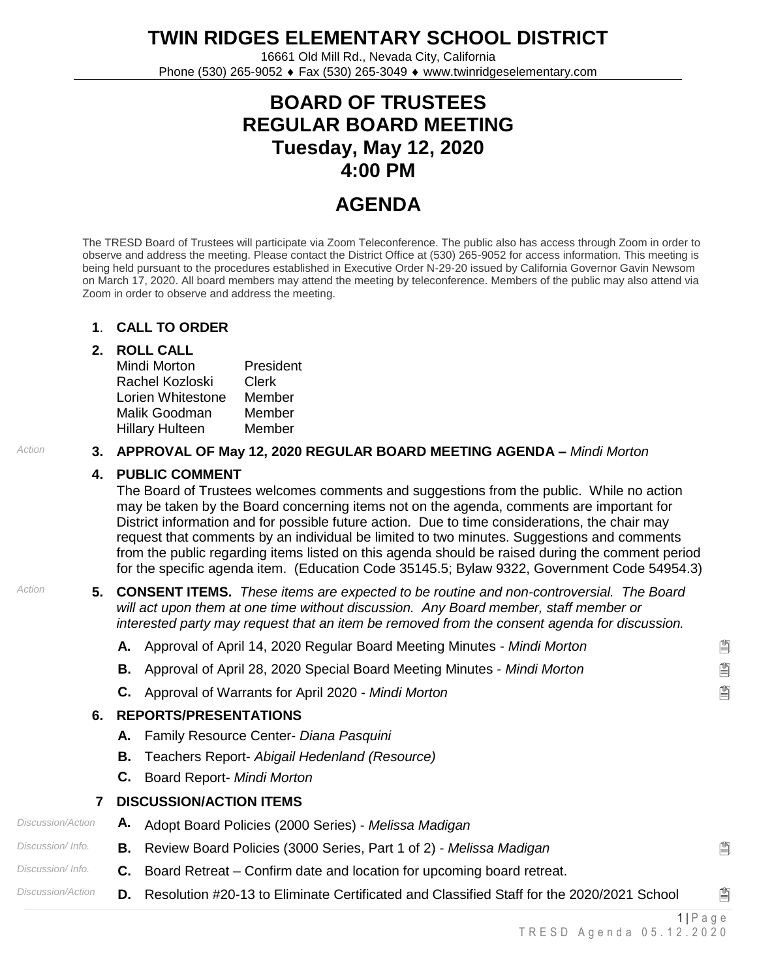**TWIN RIDGES ELEMENTARY SCHOOL DISTRICT**

16661 Old Mill Rd., Nevada City, California Phone (530) 265-9052 Fax (530) 265-3049 www.twinridgeselementary.com

# **BOARD OF TRUSTEES REGULAR BOARD MEETING Tuesday, May 12, 2020 4:00 PM**

# **AGENDA**

The TRESD Board of Trustees will participate via Zoom Teleconference. The public also has access through Zoom in order to observe and address the meeting. Please contact the District Office at (530) 265-9052 for access information. This meeting is being held pursuant to the procedures established in Executive Order N-29-20 issued by California Governor Gavin Newsom on March 17, 2020. All board members may attend the meeting by teleconference. Members of the public may also attend via Zoom in order to observe and address the meeting.

#### **1**. **CALL TO ORDER**

### **2. ROLL CALL**

| Mindi Morton      | President |
|-------------------|-----------|
| Rachel Kozloski   | Clerk     |
| Lorien Whitestone | Member    |
| Malik Goodman     | Member    |
| Hillary Hulteen   | Member    |

## *Action* **3. APPROVAL OF May 12, 2020 REGULAR BOARD MEETING AGENDA –** *Mindi Morton*

### **4. PUBLIC COMMENT**

The Board of Trustees welcomes comments and suggestions from the public. While no action may be taken by the Board concerning items not on the agenda, comments are important for District information and for possible future action. Due to time considerations, the chair may request that comments by an individual be limited to two minutes. Suggestions and comments from the public regarding items listed on this agenda should be raised during the comment period for the specific agenda item. (Education Code 35145.5; Bylaw 9322, Government Code 54954.3)

*Action* **5. CONSENT ITEMS.** *These items are expected to be routine and non-controversial. The Board will act upon them at one time without discussion. Any Board member, staff member or interested party may request that an item be removed from the consent agenda for discussion.*

**A.** Approval of April 14, 2020 Regular Board Meeting Minutes - *Mindi Morton*

**B.** Approval of April 28, 2020 Special Board Meeting Minutes - *Mindi Morton*

**C.** Approval of Warrants for April 2020 - *Mindi Morton*

### **6. REPORTS/PRESENTATIONS**

- **A.** Family Resource Center- *Diana Pasquini*
- **B.** Teachers Report- *Abigail Hedenland (Resource)*
- **C.** Board Report- *Mindi Morton*
- **7 DISCUSSION/ACTION ITEMS**
- *Discussion/Action* **A.** Adopt Board Policies (2000 Series) *Melissa Madigan*
- *Discussion/ Info.* **B.** Review Board Policies (3000 Series, Part 1 of 2) *Melissa Madigan*
- *Discussion/ Info.* **C.** Board Retreat Confirm date and location for upcoming board retreat.
- *Discussion/Action* **D.** Resolution #20-13 to Eliminate Certificated and Classified Staff for the 2020/2021 School